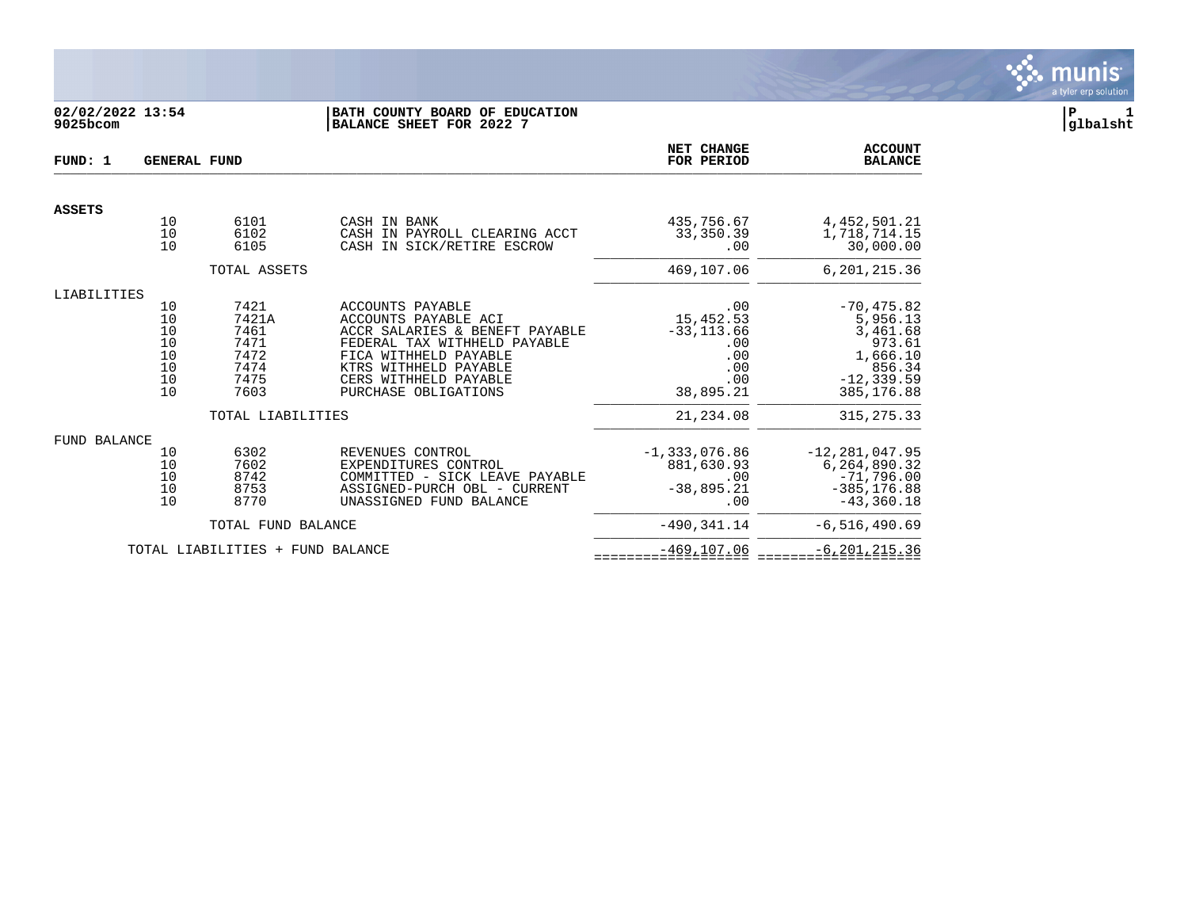

# **02/02/2022 13:54 |BATH COUNTY BOARD OF EDUCATION |P 1 9025bcom |BALANCE SHEET FOR 2022 7 |glbalsht**

| FUND: 1             | <b>GENERAL FUND</b>                                                                                              |                                                               | NET CHANGE<br>FOR PERIOD                                                                                                                                                                                      | <b>ACCOUNT</b><br><b>BALANCE</b>                                           |                                                                                                      |
|---------------------|------------------------------------------------------------------------------------------------------------------|---------------------------------------------------------------|---------------------------------------------------------------------------------------------------------------------------------------------------------------------------------------------------------------|----------------------------------------------------------------------------|------------------------------------------------------------------------------------------------------|
| <b>ASSETS</b>       |                                                                                                                  |                                                               |                                                                                                                                                                                                               |                                                                            |                                                                                                      |
|                     | $\begin{array}{c} 10 \\ 10 \end{array}$<br>10                                                                    | 6101<br>6102<br>6105                                          | CASH IN BANK<br>CASH IN PAYROLL CLEARING ACCT<br>CASH IN SICK/RETIRE ESCROW                                                                                                                                   | 435,756.67<br>33, 350. 39<br>.00                                           | 4, 452, 501.21<br>1,718,714.15<br>30,000.00                                                          |
|                     |                                                                                                                  | TOTAL ASSETS                                                  |                                                                                                                                                                                                               | 469,107.06                                                                 | 6, 201, 215.36                                                                                       |
| LIABILITIES         |                                                                                                                  |                                                               |                                                                                                                                                                                                               |                                                                            |                                                                                                      |
|                     | 10<br>$\begin{array}{c} 10 \\ 10 \\ 10 \\ 10 \\ 10 \\ 10 \end{array}$<br>$\begin{array}{c} 10 \\ 10 \end{array}$ | 7421<br>7421A<br>7461<br>7471<br>7472<br>7474<br>7475<br>7603 | ACCOUNTS PAYABLE<br>ACCOUNTS PAYABLE ACI<br>ACCR SALARIES & BENEFT PAYABLE<br>FEDERAL TAX WITHHELD PAYABLE<br>FICA WITHHELD PAYABLE<br>KTRS WITHHELD PAYABLE<br>CERS WITHHELD PAYABLE<br>PURCHASE OBLIGATIONS | .00<br>15,452.53<br>$-33, 113.66$<br>.00<br>.00<br>.00<br>.00<br>38,895.21 | $-70, 475.82$<br>5,956.13<br>3,461.68<br>973.61<br>1,666.10<br>856.34<br>$-12, 339.59$<br>385,176.88 |
|                     |                                                                                                                  | TOTAL LIABILITIES                                             |                                                                                                                                                                                                               | 21, 234.08                                                                 | 315, 275.33                                                                                          |
| <b>FUND BALANCE</b> |                                                                                                                  |                                                               |                                                                                                                                                                                                               |                                                                            |                                                                                                      |
|                     | 10<br>$\begin{array}{c} 10 \\ 10 \\ 10 \end{array}$<br>10                                                        | 6302<br>7602<br>8742<br>8753<br>8770                          | REVENUES CONTROL<br>EXPENDITURES CONTROL<br>COMMITTED - SICK LEAVE PAYABLE<br>ASSIGNED-PURCH OBL - CURRENT<br>UNASSIGNED FUND BALANCE                                                                         | $-1, 333, 076.86$<br>881,630.93<br>.00<br>$-38,895.21$<br>.00              | $-12, 281, 047.95$<br>6,264,890.32<br>$-71,796.00$<br>$-385, 176.88$<br>$-43, 360.18$                |
|                     |                                                                                                                  | TOTAL FUND BALANCE                                            |                                                                                                                                                                                                               | $-490, 341.14$                                                             | $-6, 516, 490.69$                                                                                    |
|                     |                                                                                                                  | TOTAL LIABILITIES + FUND BALANCE                              |                                                                                                                                                                                                               | $-469, 107.06$                                                             | $-6, 201, 215.36$                                                                                    |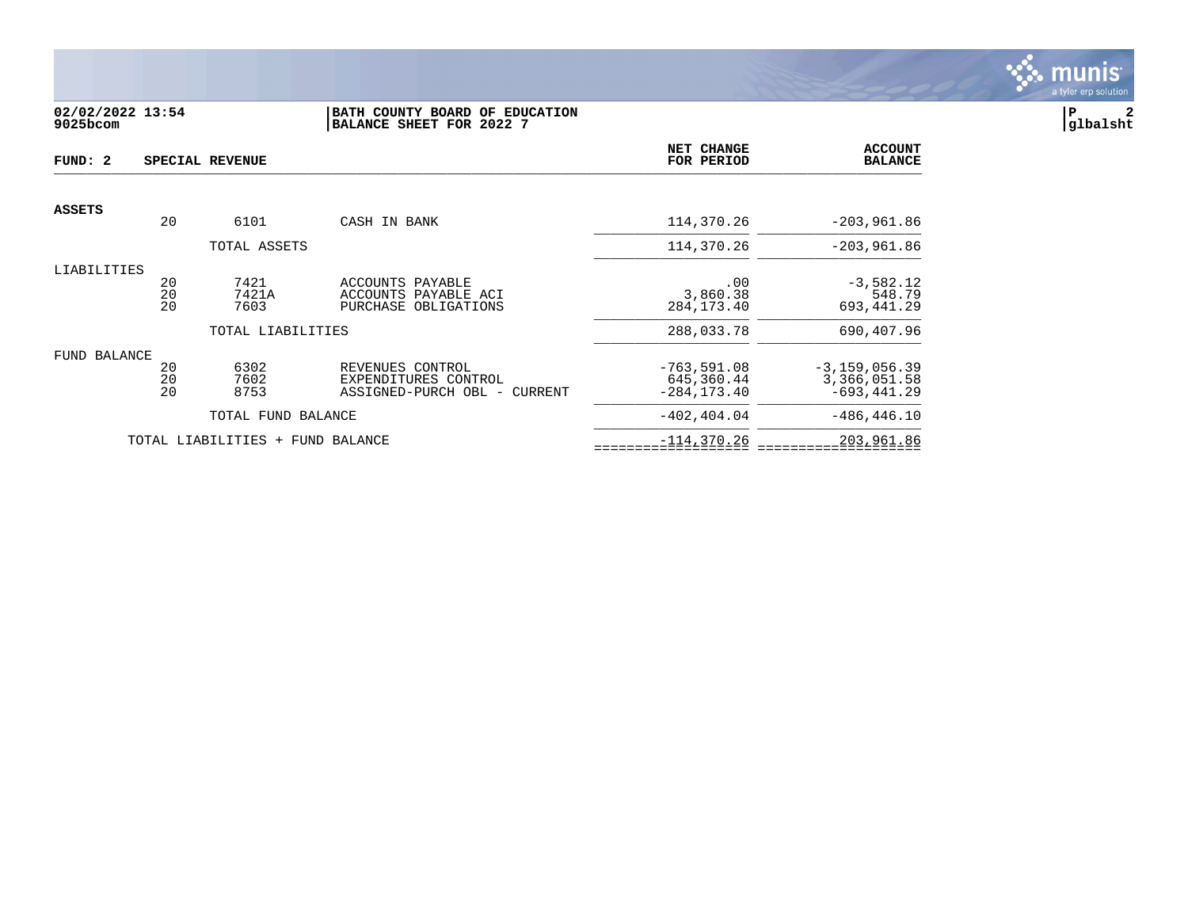

# **02/02/2022 13:54 |BATH COUNTY BOARD OF EDUCATION |P 2 9025bcom |BALANCE SHEET FOR 2022 7 |glbalsht**

| FUND: 2       |                | SPECIAL REVENUE          |                                                                             | NET CHANGE<br>FOR PERIOD                      | <b>ACCOUNT</b><br><b>BALANCE</b>                    |
|---------------|----------------|--------------------------|-----------------------------------------------------------------------------|-----------------------------------------------|-----------------------------------------------------|
|               |                |                          |                                                                             |                                               |                                                     |
| <b>ASSETS</b> | 20             | 6101                     | CASH IN BANK                                                                | 114,370.26                                    | $-203,961.86$                                       |
|               |                | TOTAL ASSETS             |                                                                             | 114,370.26                                    | $-203,961.86$                                       |
| LIABILITIES   | 20<br>20<br>20 | 7421<br>7421A<br>7603    | ACCOUNTS PAYABLE<br>ACCOUNTS PAYABLE ACI<br>PURCHASE OBLIGATIONS            | .00<br>3,860.38<br>284, 173. 40               | $-3,582.12$<br>548.79<br>693,441.29                 |
|               |                | TOTAL LIABILITIES        |                                                                             | 288,033.78                                    | 690,407.96                                          |
| FUND BALANCE  | 20<br>20<br>20 | 6302<br>7602<br>8753     | REVENUES CONTROL<br>EXPENDITURES CONTROL<br>ASSIGNED-PURCH OBL -<br>CURRENT | $-763,591.08$<br>645,360.44<br>$-284, 173.40$ | $-3, 159, 056.39$<br>3,366,051.58<br>$-693, 441.29$ |
|               |                | TOTAL FUND BALANCE       |                                                                             | $-402.404.04$                                 | $-486, 446.10$                                      |
|               |                | TOTAL LIABILITIES<br>$+$ | FUND BALANCE                                                                | $-114,370.26$                                 | 203,961.86                                          |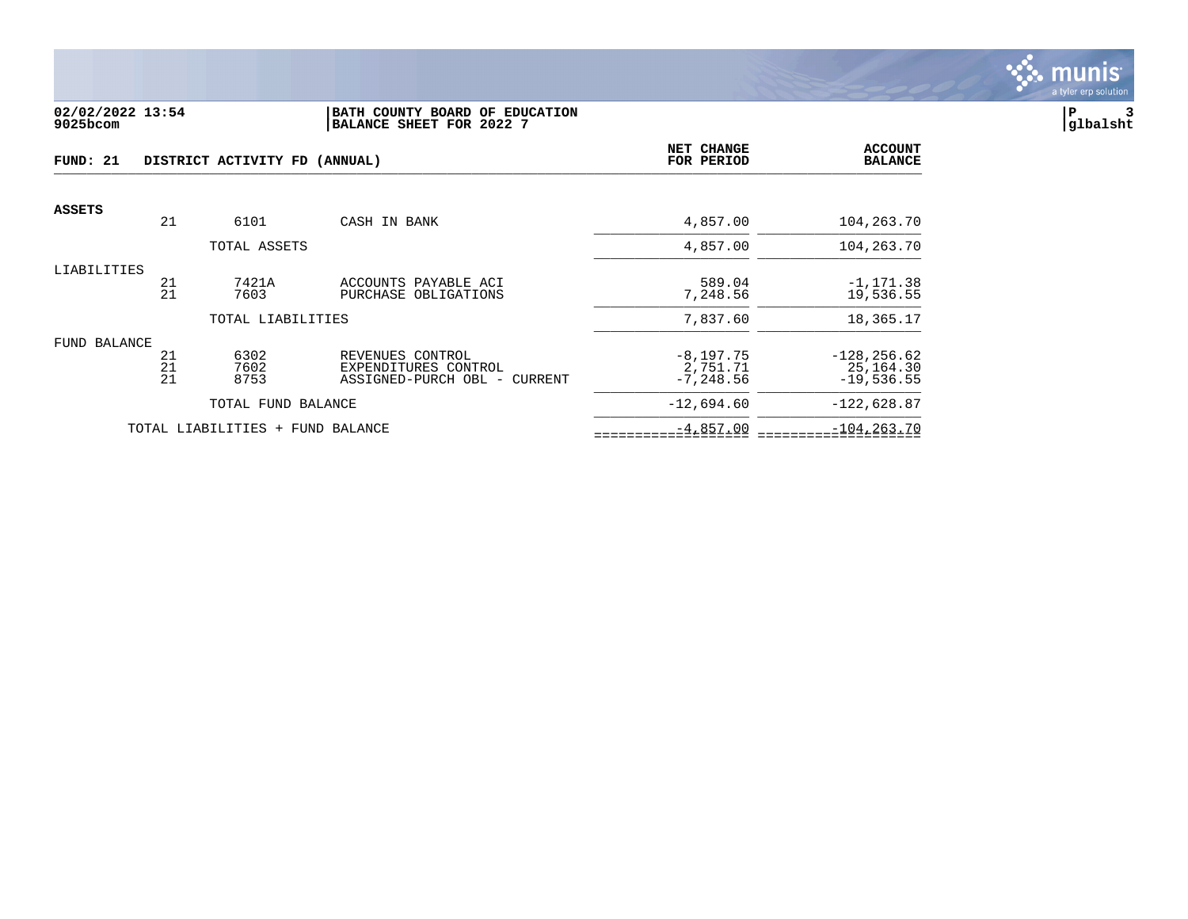

#### **02/02/2022 13:54 |BATH COUNTY BOARD OF EDUCATION |P 3 9025bcom |BALANCE SHEET FOR 2022 7 |glbalsht**

| FUND: 21      |                | DISTRICT ACTIVITY FD (ANNUAL)    |                                                                          | NET CHANGE<br>FOR PERIOD                | <b>ACCOUNT</b><br><b>BALANCE</b>            |
|---------------|----------------|----------------------------------|--------------------------------------------------------------------------|-----------------------------------------|---------------------------------------------|
| <b>ASSETS</b> |                |                                  |                                                                          |                                         |                                             |
|               | 21             | 6101                             | CASH IN BANK                                                             | 4,857.00                                | 104,263.70                                  |
|               |                | TOTAL ASSETS                     |                                                                          | 4,857.00                                | 104,263.70                                  |
| LIABILITIES   | 21<br>21       | 7421A<br>7603                    | ACCOUNTS PAYABLE ACI<br>PURCHASE OBLIGATIONS                             | 589.04<br>7,248.56                      | $-1, 171.38$<br>19,536.55                   |
|               |                | TOTAL LIABILITIES                |                                                                          | 7,837.60                                | 18,365.17                                   |
| FUND BALANCE  | 21<br>21<br>21 | 6302<br>7602<br>8753             | REVENUES CONTROL<br>EXPENDITURES CONTROL<br>ASSIGNED-PURCH OBL - CURRENT | $-8,197.75$<br>2,751.71<br>$-7, 248.56$ | $-128, 256.62$<br>25,164.30<br>$-19,536.55$ |
|               |                | TOTAL FUND BALANCE               |                                                                          | $-12,694.60$                            | $-122,628.87$                               |
|               |                | TOTAL LIABILITIES + FUND BALANCE |                                                                          | $-4,857.00$                             | $-104, 263.70$                              |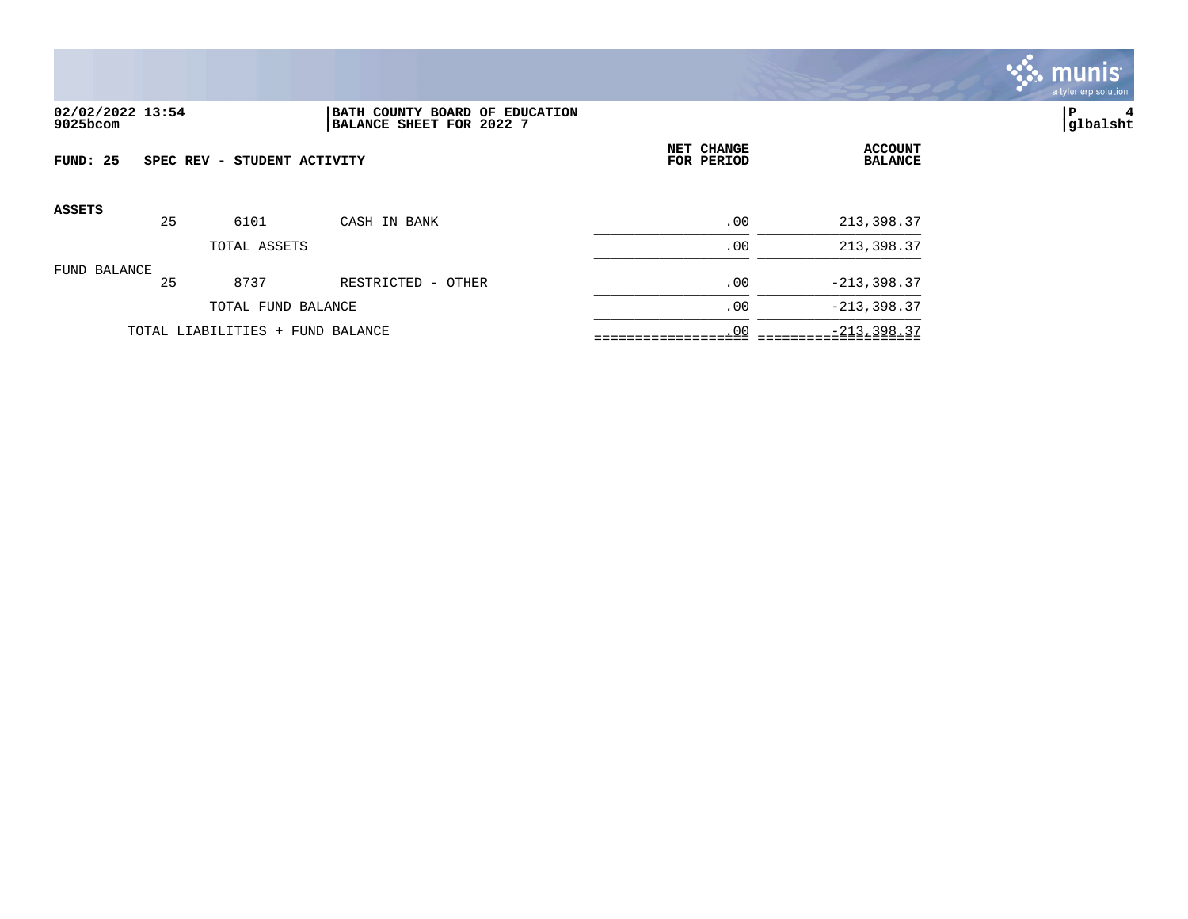

# **02/02/2022 13:54 |BATH COUNTY BOARD OF EDUCATION |P 4 9025bcom |BALANCE SHEET FOR 2022 7 |glbalsht**

| FUND: 25      | SPEC REV - STUDENT ACTIVITY |                                  |                    | NET CHANGE<br>FOR PERIOD | <b>ACCOUNT</b><br><b>BALANCE</b> |
|---------------|-----------------------------|----------------------------------|--------------------|--------------------------|----------------------------------|
| <b>ASSETS</b> | 25                          | 6101                             | CASH IN BANK       | .00                      | 213,398.37                       |
|               |                             | TOTAL ASSETS                     |                    | .00                      | 213,398.37                       |
| FUND BALANCE  | 25                          | 8737                             | RESTRICTED - OTHER | .00                      | $-213,398.37$                    |
|               |                             | TOTAL FUND BALANCE               |                    | .00                      | $-213, 398.37$                   |
|               |                             | TOTAL LIABILITIES + FUND BALANCE |                    | .00                      | $-213, 398.37$                   |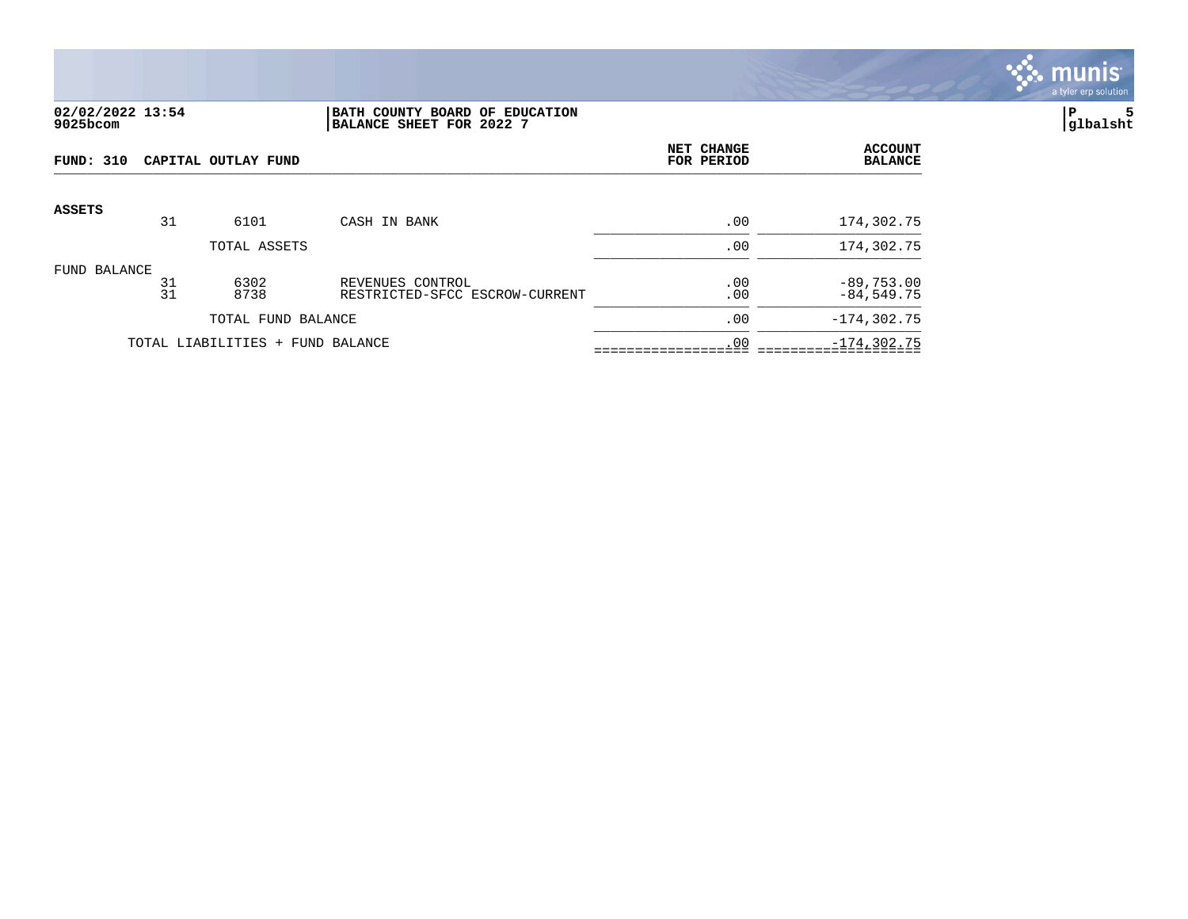

## **02/02/2022 13:54 |BATH COUNTY BOARD OF EDUCATION |P 5 9025bcom |BALANCE SHEET FOR 2022 7 |glbalsht**

| FUND: 310<br>CAPITAL OUTLAY FUND |          |                                  |                                                    | NET CHANGE<br>FOR PERIOD | <b>ACCOUNT</b><br><b>BALANCE</b> |
|----------------------------------|----------|----------------------------------|----------------------------------------------------|--------------------------|----------------------------------|
| <b>ASSETS</b>                    |          |                                  |                                                    |                          |                                  |
|                                  | 31       | 6101                             | CASH IN BANK                                       | .00                      | 174,302.75                       |
|                                  |          | TOTAL ASSETS                     |                                                    | .00                      | 174,302.75                       |
| FUND BALANCE                     | 31<br>31 | 6302<br>8738                     | REVENUES CONTROL<br>RESTRICTED-SFCC ESCROW-CURRENT | .00<br>.00               | $-89,753.00$<br>$-84,549.75$     |
|                                  |          | TOTAL FUND BALANCE               |                                                    | .00                      | $-174, 302.75$                   |
|                                  |          | TOTAL LIABILITIES + FUND BALANCE |                                                    | .00                      | $-174, 302.75$                   |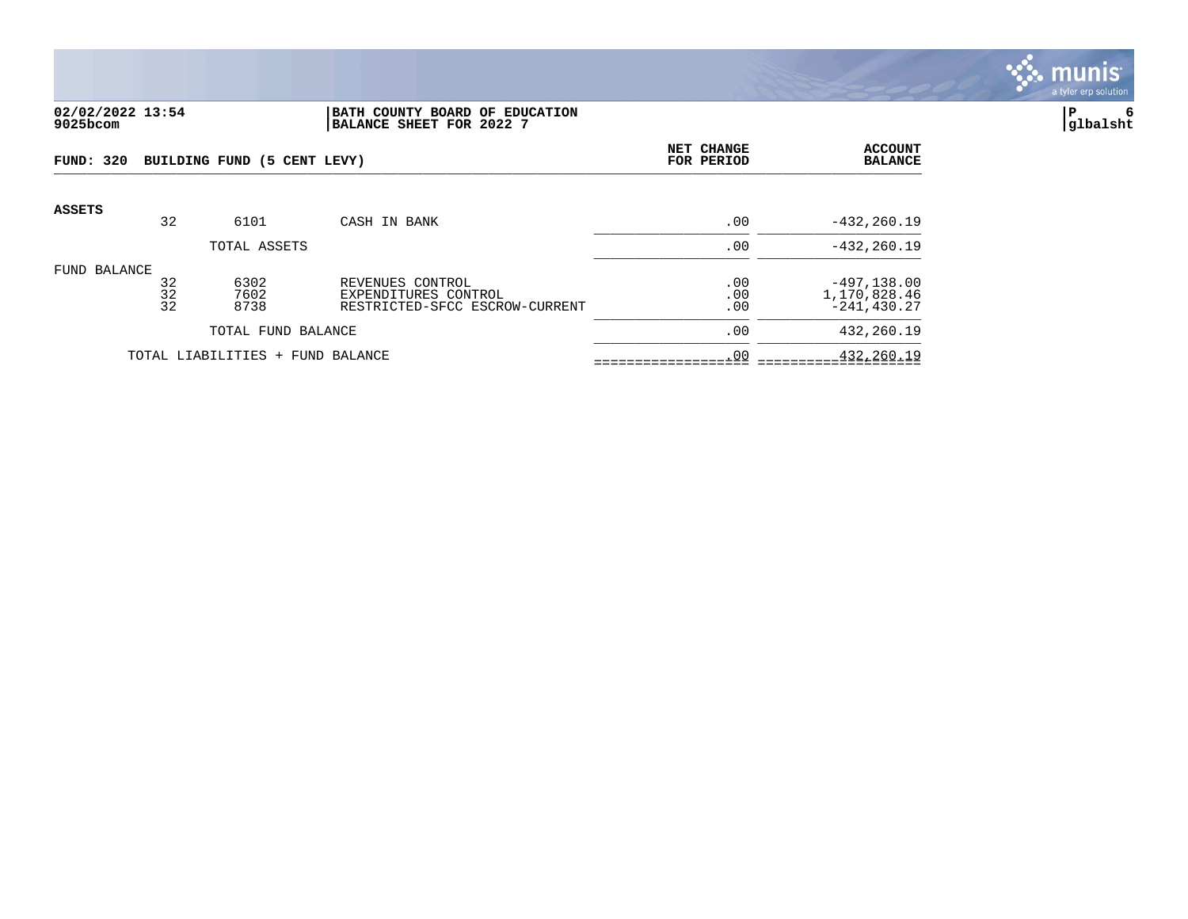

### **02/02/2022 13:54 |BATH COUNTY BOARD OF EDUCATION |P 6 9025bcom |BALANCE SHEET FOR 2022 7 |glbalsht**

| <b>FUND: 320</b> |                | BUILDING FUND (5 CENT LEVY) |                                                                            | NET CHANGE<br>FOR PERIOD | <b>ACCOUNT</b><br><b>BALANCE</b>                 |
|------------------|----------------|-----------------------------|----------------------------------------------------------------------------|--------------------------|--------------------------------------------------|
| <b>ASSETS</b>    | 32             | 6101                        | CASH IN BANK                                                               | .00                      | $-432, 260.19$                                   |
|                  |                | TOTAL ASSETS                |                                                                            | .00                      | $-432, 260.19$                                   |
| FUND BALANCE     | 32<br>32<br>32 | 6302<br>7602<br>8738        | REVENUES CONTROL<br>EXPENDITURES CONTROL<br>RESTRICTED-SFCC ESCROW-CURRENT | .00<br>.00<br>.00        | $-497, 138.00$<br>1,170,828.46<br>$-241, 430.27$ |
|                  |                | TOTAL FUND BALANCE          |                                                                            | .00                      | 432,260.19                                       |
|                  |                | TOTAL LIABILITIES +         | FUND BALANCE                                                               | .00                      | 432,260.19                                       |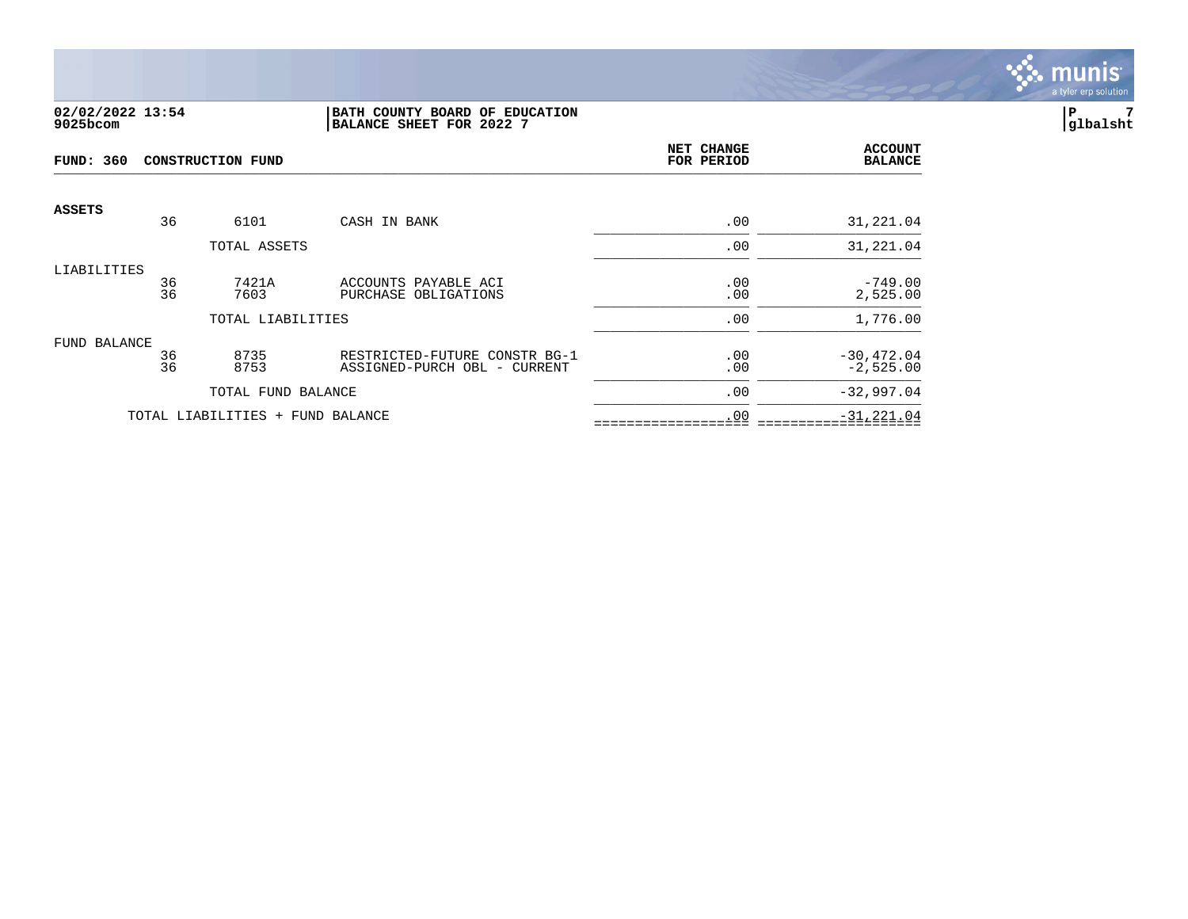

## **02/02/2022 13:54 |BATH COUNTY BOARD OF EDUCATION |P 7 9025bcom |BALANCE SHEET FOR 2022 7 |glbalsht**

| <b>FUND: 360</b> | <b>CONSTRUCTION FUND</b> |                                  |                                                               |            | <b>ACCOUNT</b><br><b>BALANCE</b> |
|------------------|--------------------------|----------------------------------|---------------------------------------------------------------|------------|----------------------------------|
| <b>ASSETS</b>    | 36                       | 6101                             | CASH IN BANK                                                  | .00        | 31,221.04                        |
|                  |                          | TOTAL ASSETS                     |                                                               | .00        | 31,221.04                        |
| LIABILITIES      | 36<br>36                 | 7421A<br>7603                    | ACCOUNTS PAYABLE ACI<br>PURCHASE OBLIGATIONS                  | .00<br>.00 | $-749.00$<br>2,525.00            |
|                  |                          | TOTAL LIABILITIES                |                                                               | .00        | 1,776.00                         |
| FUND BALANCE     | 36<br>36                 | 8735<br>8753                     | RESTRICTED-FUTURE CONSTR BG-1<br>ASSIGNED-PURCH OBL - CURRENT | .00<br>.00 | $-30, 472.04$<br>$-2,525.00$     |
|                  |                          | TOTAL FUND BALANCE               |                                                               | .00        | $-32,997.04$                     |
|                  |                          | TOTAL LIABILITIES + FUND BALANCE |                                                               | .00        | $-31, 221.04$                    |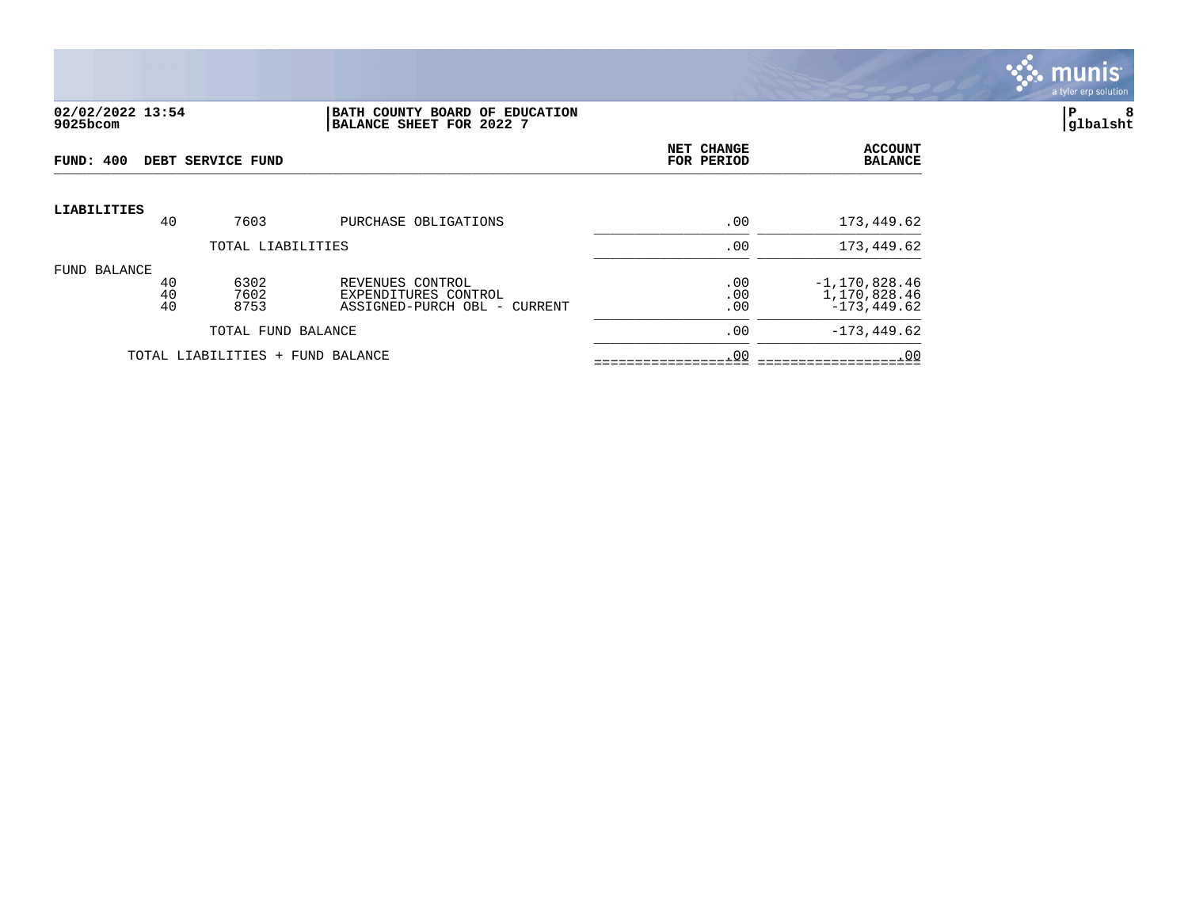

#### **02/02/2022 13:54 |BATH COUNTY BOARD OF EDUCATION |P 8 9025bcom |BALANCE SHEET FOR 2022 7 |glbalsht**

| FUND: 400          |                | DEBT SERVICE FUND                |                                                                          | NET CHANGE<br>FOR PERIOD | <b>ACCOUNT</b><br><b>BALANCE</b>                  |
|--------------------|----------------|----------------------------------|--------------------------------------------------------------------------|--------------------------|---------------------------------------------------|
| <b>LIABILITIES</b> | 40             | 7603                             | PURCHASE OBLIGATIONS                                                     | .00                      | 173,449.62                                        |
|                    |                | TOTAL LIABILITIES                |                                                                          | .00                      | 173,449.62                                        |
| FUND BALANCE       |                |                                  |                                                                          |                          |                                                   |
|                    | 40<br>40<br>40 | 6302<br>7602<br>8753             | REVENUES CONTROL<br>EXPENDITURES CONTROL<br>ASSIGNED-PURCH OBL - CURRENT | .00<br>.00<br>.00        | $-1,170,828.46$<br>1,170,828.46<br>$-173, 449.62$ |
|                    |                | TOTAL FUND BALANCE               |                                                                          | .00                      | $-173, 449.62$                                    |
|                    |                | TOTAL LIABILITIES + FUND BALANCE |                                                                          | .00                      | .00                                               |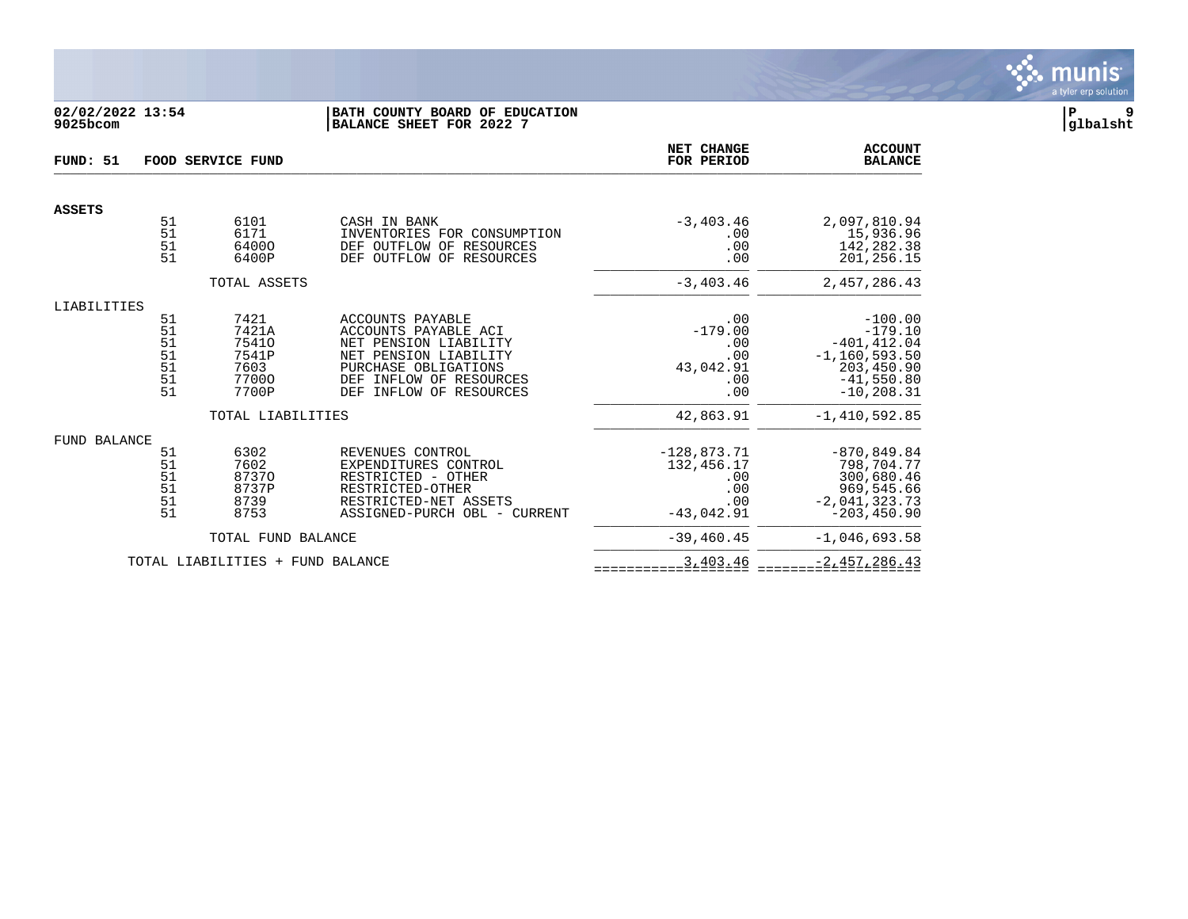

# **02/02/2022 13:54 |BATH COUNTY BOARD OF EDUCATION |P 9 9025bcom |BALANCE SHEET FOR 2022 7 |glbalsht**

| FUND: 51            | FOOD SERVICE FUND                      |                                                           |                                                                                                                                                                             | NET CHANGE<br>FOR PERIOD                                         | <b>ACCOUNT</b><br><b>BALANCE</b>                                                                             |
|---------------------|----------------------------------------|-----------------------------------------------------------|-----------------------------------------------------------------------------------------------------------------------------------------------------------------------------|------------------------------------------------------------------|--------------------------------------------------------------------------------------------------------------|
| <b>ASSETS</b>       |                                        |                                                           |                                                                                                                                                                             |                                                                  |                                                                                                              |
|                     | 51<br>51<br>51<br>51                   | 6101<br>6171<br>64000<br>6400P                            | CASH IN BANK<br>INVENTORIES FOR CONSUMPTION<br>DEF OUTFLOW OF<br>RESOURCES<br>DEF OUTFLOW OF<br>RESOURCES                                                                   | $-3, 403.46$<br>.00<br>.00<br>.00                                | 2,097,810.94<br>15,936.96<br>142,282.38<br>201,256.15                                                        |
|                     |                                        | TOTAL ASSETS                                              |                                                                                                                                                                             | $-3.403.46$                                                      | 2,457,286.43                                                                                                 |
| LIABILITIES         | 51<br>51<br>51<br>51<br>51<br>51<br>51 | 7421<br>7421A<br>75410<br>7541P<br>7603<br>77000<br>7700P | ACCOUNTS PAYABLE<br>ACCOUNTS PAYABLE ACI<br>NET PENSION LIABILITY<br>NET PENSION LIABILITY<br>PURCHASE OBLIGATIONS<br>DEF INFLOW OF RESOURCES<br>INFLOW OF RESOURCES<br>DEF | .00<br>$-179.00$<br>.00<br>.00<br>43,042.91<br>.00<br>.00        | $-100.00$<br>$-179.10$<br>$-401, 412.04$<br>$-1, 160, 593.50$<br>203,450.90<br>$-41,550.80$<br>$-10, 208.31$ |
|                     |                                        | TOTAL LIABILITIES                                         |                                                                                                                                                                             | 42,863.91                                                        | $-1,410,592.85$                                                                                              |
| <b>FUND BALANCE</b> | 51<br>51<br>51<br>51<br>51<br>51       | 6302<br>7602<br>87370<br>8737P<br>8739<br>8753            | REVENUES CONTROL<br>EXPENDITURES CONTROL<br>RESTRICTED - OTHER<br>RESTRICTED-OTHER<br>RESTRICTED-NET ASSETS<br>ASSIGNED-PURCH OBL - CURRENT                                 | $-128,873.71$<br>132,456.17<br>.00<br>.00<br>.00<br>$-43,042.91$ | $-870, 849.84$<br>798,704.77<br>300,680.46<br>969,545.66<br>$-2,041,323.73$<br>$-203, 450.90$                |
|                     |                                        | TOTAL FUND BALANCE                                        |                                                                                                                                                                             | $-39, 460.45$                                                    | $-1,046,693.58$                                                                                              |
|                     |                                        | TOTAL LIABILITIES + FUND BALANCE                          |                                                                                                                                                                             | 3,403.46                                                         | $-2,457,286.43$                                                                                              |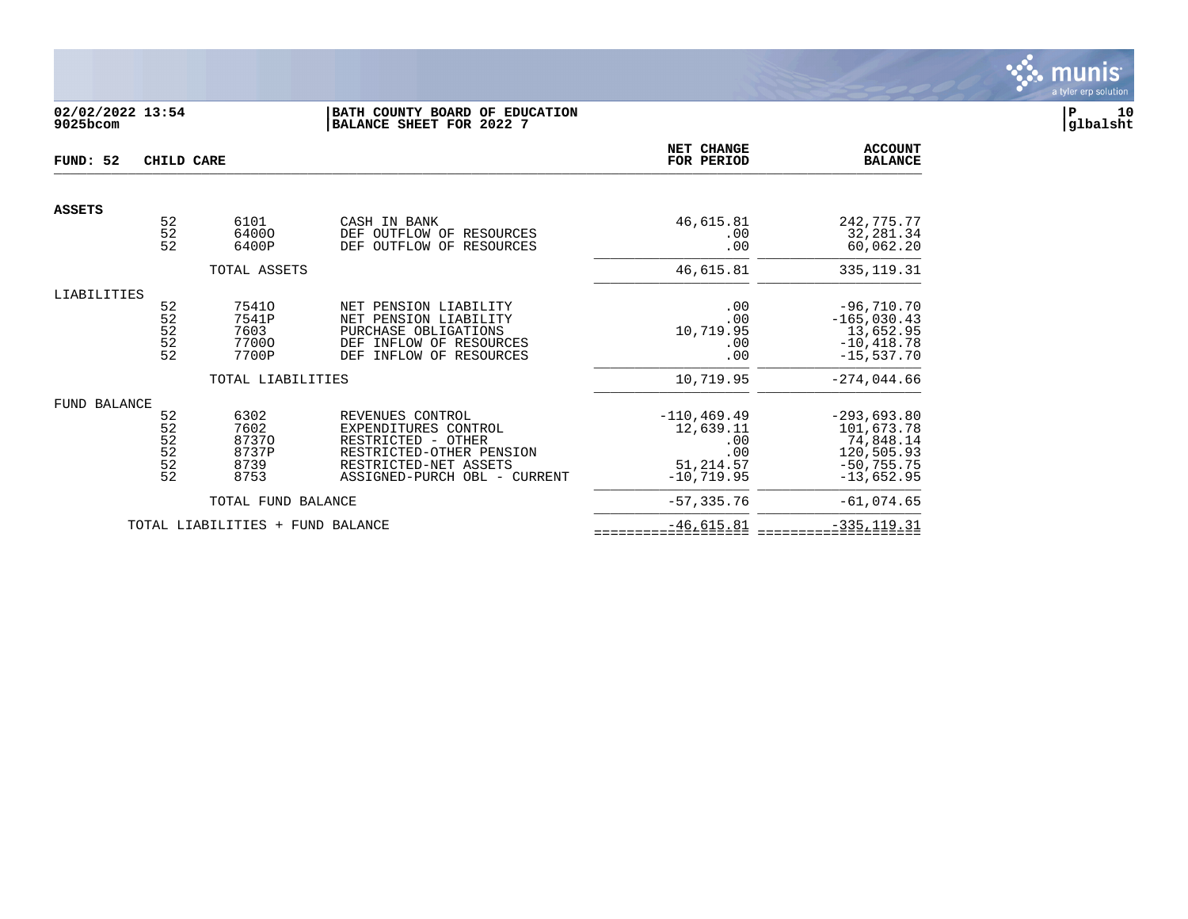

# **02/02/2022 13:54 |BATH COUNTY BOARD OF EDUCATION |P 10 9025bcom |BALANCE SHEET FOR 2022 7 |glbalsht**

| FUND: 52            | CHILD CARE                              |                                                | NET CHANGE<br>FOR PERIOD                                                                                                                            | <b>ACCOUNT</b><br><b>BALANCE</b>                                         |                                                                                         |
|---------------------|-----------------------------------------|------------------------------------------------|-----------------------------------------------------------------------------------------------------------------------------------------------------|--------------------------------------------------------------------------|-----------------------------------------------------------------------------------------|
| <b>ASSETS</b>       |                                         |                                                |                                                                                                                                                     |                                                                          |                                                                                         |
|                     | 52<br>$\overline{52}$<br>52             | 6101<br>64000<br>6400P                         | CASH IN BANK<br>DEF<br>OUTFLOW OF RESOURCES<br>OUTFLOW OF RESOURCES<br>DEF                                                                          | 46,615.81<br>.00<br>.00                                                  | 242,775.77<br>32,281.34<br>60,062.20                                                    |
|                     |                                         | TOTAL ASSETS                                   |                                                                                                                                                     | 46,615.81                                                                | 335, 119.31                                                                             |
| LIABILITIES         | 52<br>52<br>52<br>52<br>52              | 75410<br>7541P<br>7603<br>77000<br>7700P       | NET PENSION LIABILITY<br>NET PENSION LIABILITY<br>PURCHASE OBLIGATIONS<br>INFLOW OF RESOURCES<br>DEF<br>INFLOW OF RESOURCES<br>DEF                  | .00<br>.00<br>10,719.95<br>.00<br>.00                                    | $-96,710.70$<br>$-165,030.43$<br>13,652.95<br>$-10, 418.78$<br>$-15,537.70$             |
|                     |                                         | TOTAL LIABILITIES                              |                                                                                                                                                     | 10,719.95                                                                | $-274,044.66$                                                                           |
| <b>FUND BALANCE</b> | 52<br>52<br>$\frac{52}{52}$<br>52<br>52 | 6302<br>7602<br>87370<br>8737P<br>8739<br>8753 | REVENUES CONTROL<br>EXPENDITURES CONTROL<br>RESTRICTED - OTHER<br>RESTRICTED-OTHER PENSION<br>RESTRICTED-NET ASSETS<br>ASSIGNED-PURCH OBL - CURRENT | $-110, 469.49$<br>12,639.11<br>.00<br>.00<br>51, 214.57<br>$-10, 719.95$ | $-293,693.80$<br>101,673.78<br>74,848.14<br>120,505.93<br>$-50, 755.75$<br>$-13,652.95$ |
|                     |                                         | TOTAL FUND BALANCE                             |                                                                                                                                                     | $-57, 335.76$                                                            | $-61,074.65$                                                                            |
|                     |                                         | TOTAL LIABILITIES +                            | FUND BALANCE                                                                                                                                        | $-46,615.81$                                                             | $-335, 119.31$                                                                          |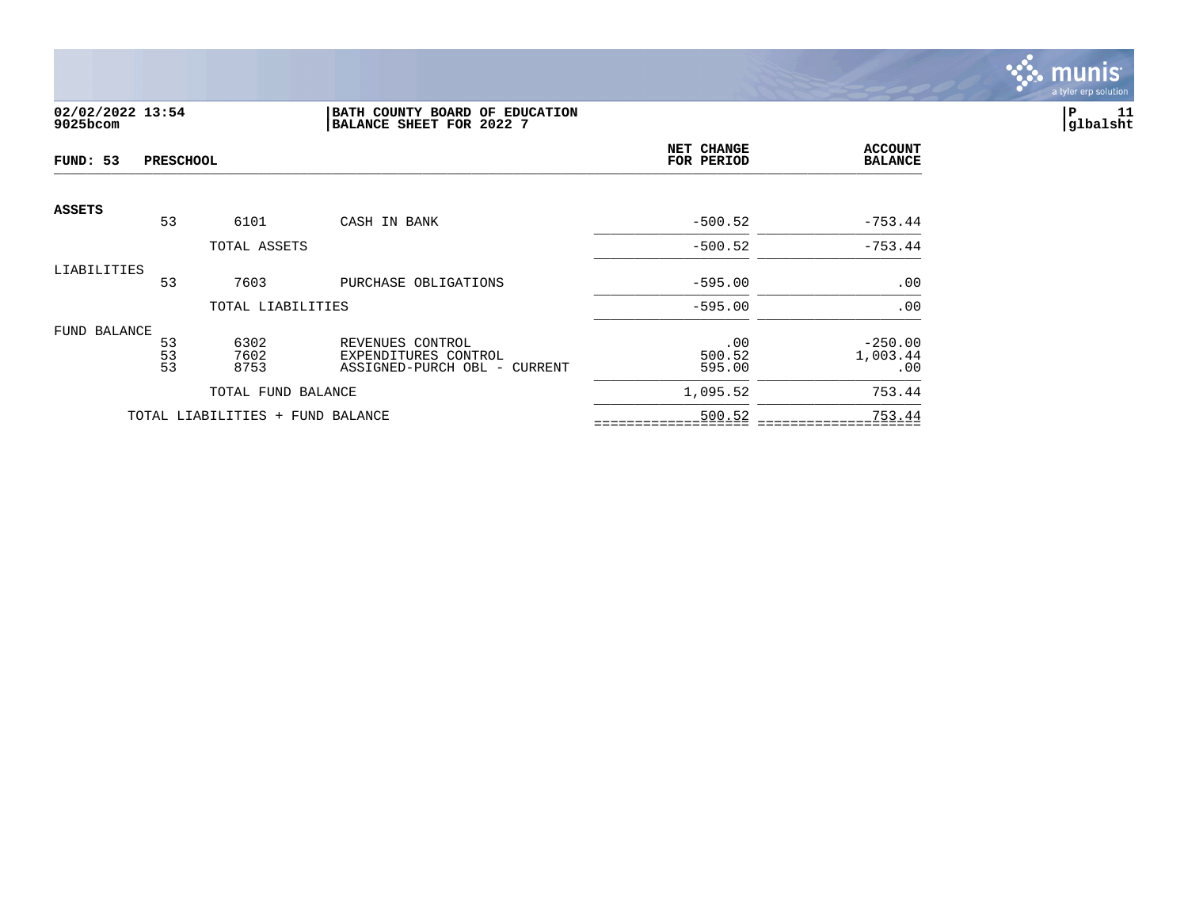

# **02/02/2022 13:54 |BATH COUNTY BOARD OF EDUCATION |P 11 9025bcom |BALANCE SHEET FOR 2022 7 |glbalsht**

| FUND: 53      | <b>PRESCHOOL</b> |                                  |                                                                          | <b>NET CHANGE</b><br>FOR PERIOD | <b>ACCOUNT</b><br><b>BALANCE</b> |
|---------------|------------------|----------------------------------|--------------------------------------------------------------------------|---------------------------------|----------------------------------|
| <b>ASSETS</b> | 53               | 6101                             | CASH IN BANK                                                             | $-500.52$                       | $-753.44$                        |
|               |                  | TOTAL ASSETS                     |                                                                          | $-500.52$                       | $-753.44$                        |
| LIABILITIES   | 53               | 7603                             |                                                                          | $-595.00$                       | .00                              |
|               |                  | TOTAL LIABILITIES                | PURCHASE OBLIGATIONS                                                     | $-595.00$                       | .00                              |
| FUND BALANCE  |                  |                                  |                                                                          |                                 |                                  |
|               | 53<br>53<br>53   | 6302<br>7602<br>8753             | REVENUES CONTROL<br>EXPENDITURES CONTROL<br>ASSIGNED-PURCH OBL - CURRENT | .00<br>500.52<br>595.00         | $-250.00$<br>1,003.44<br>.00     |
|               |                  | TOTAL FUND BALANCE               |                                                                          | 1,095.52                        | 753.44                           |
|               |                  | TOTAL LIABILITIES + FUND BALANCE |                                                                          | 500.52                          | 753.44                           |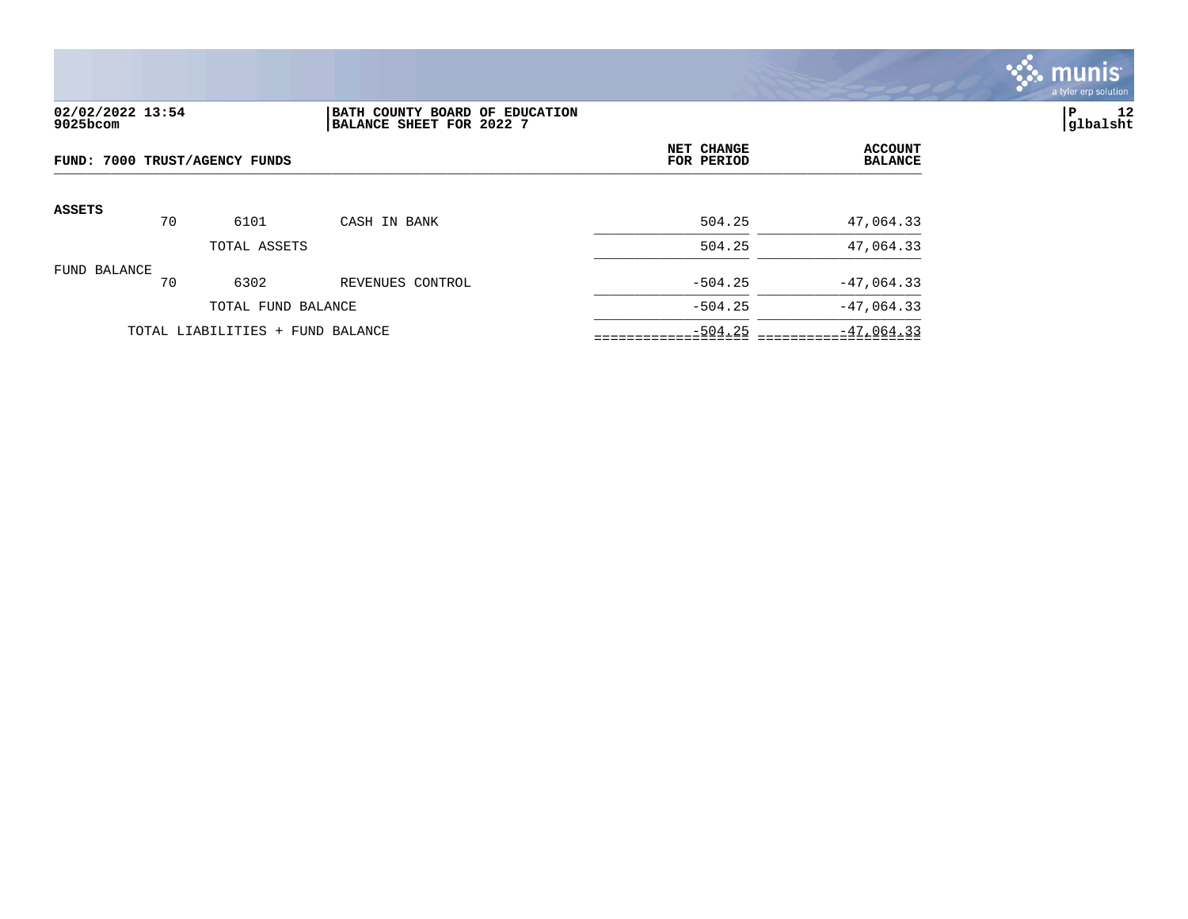

# **02/02/2022 13:54 |BATH COUNTY BOARD OF EDUCATION |P 12 9025bcom |BALANCE SHEET FOR 2022 7 |glbalsht**

| FUND: 7000 TRUST/AGENCY FUNDS |    |                                  |                  | NET CHANGE<br>FOR PERIOD | <b>ACCOUNT</b><br><b>BALANCE</b> |
|-------------------------------|----|----------------------------------|------------------|--------------------------|----------------------------------|
| ASSETS                        | 70 | 6101                             | CASH IN BANK     | 504.25                   | 47,064.33                        |
|                               |    | TOTAL ASSETS                     |                  | 504.25                   | 47,064.33                        |
| FUND BALANCE                  | 70 | 6302                             | REVENUES CONTROL | $-504.25$                | $-47,064.33$                     |
|                               |    | TOTAL FUND BALANCE               |                  | $-504.25$                | $-47,064.33$                     |
|                               |    | TOTAL LIABILITIES + FUND BALANCE |                  | $-504.25$                | $-47,064.33$                     |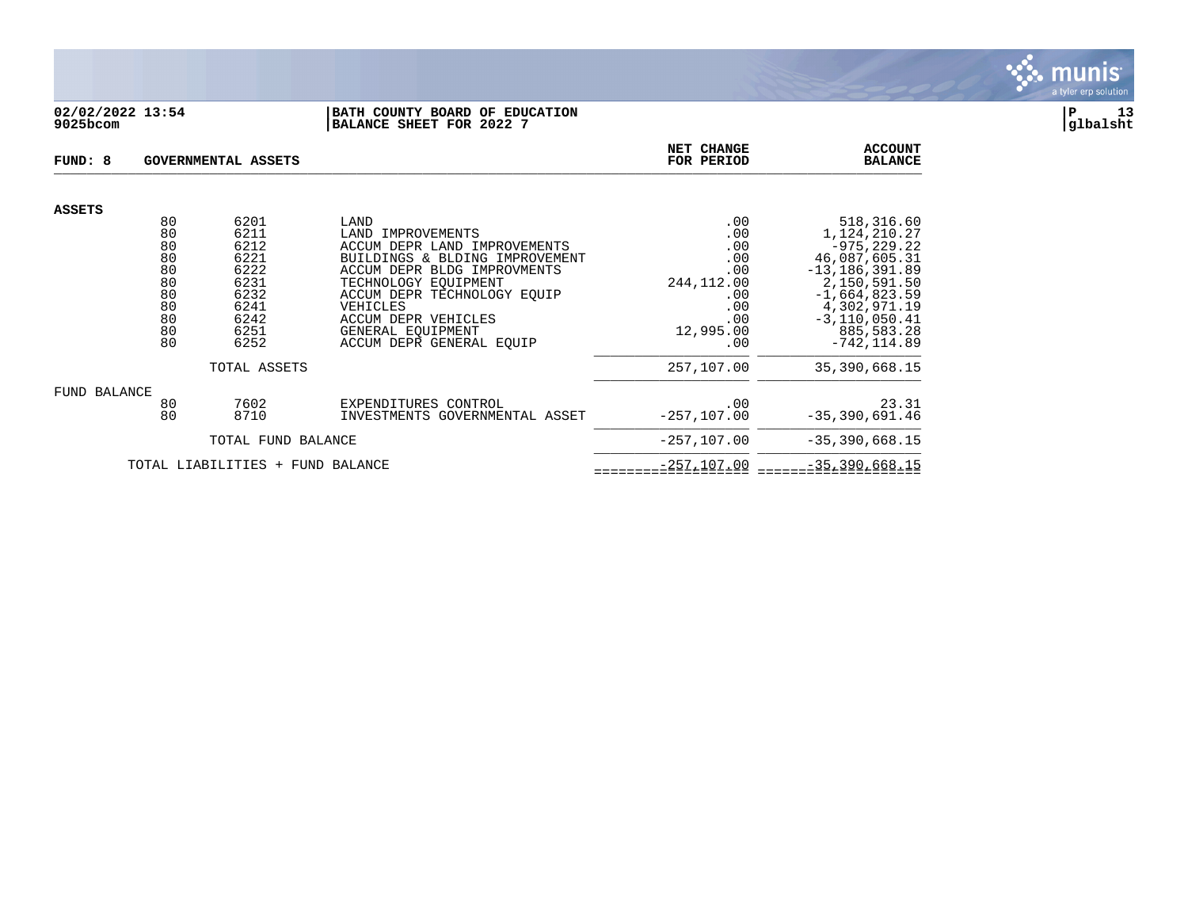

## **02/02/2022 13:54 |BATH COUNTY BOARD OF EDUCATION |P 13 9025bcom |BALANCE SHEET FOR 2022 7 |glbalsht**

| FUND: 8                             |                                                    | GOVERNMENTAL ASSETS                                                  | NET CHANGE<br>FOR PERIOD                                                                                                                                                                                                                        | <b>ACCOUNT</b><br><b>BALANCE</b>                                         |                                                                                                                                                               |
|-------------------------------------|----------------------------------------------------|----------------------------------------------------------------------|-------------------------------------------------------------------------------------------------------------------------------------------------------------------------------------------------------------------------------------------------|--------------------------------------------------------------------------|---------------------------------------------------------------------------------------------------------------------------------------------------------------|
| <b>ASSETS</b>                       |                                                    |                                                                      |                                                                                                                                                                                                                                                 |                                                                          |                                                                                                                                                               |
|                                     | 80<br>80                                           | 6201<br>6211                                                         | LAND<br>LAND<br>IMPROVEMENTS                                                                                                                                                                                                                    | .00<br>.00                                                               | 518,316.60<br>1,124,210.27                                                                                                                                    |
|                                     | 80<br>80<br>80<br>80<br>80<br>80<br>80<br>80<br>80 | 6212<br>6221<br>6222<br>6231<br>6232<br>6241<br>6242<br>6251<br>6252 | ACCUM DEPR LAND IMPROVEMENTS<br>BUILDINGS & BLDING IMPROVEMENT<br>ACCUM DEPR BLDG IMPROVMENTS<br>TECHNOLOGY EOUIPMENT<br>ACCUM DEPR TECHNOLOGY EQUIP<br>VEHICLES<br><b>ACCUM DEPR VEHICLES</b><br>GENERAL EOUIPMENT<br>ACCUM DEPR GENERAL EQUIP | .00<br>.00<br>.00<br>244,112.00<br>.00<br>.00<br>.00<br>12,995.00<br>.00 | $-975, 229.22$<br>46,087,605.31<br>$-13, 186, 391.89$<br>2,150,591.50<br>$-1,664,823.59$<br>4,302,971.19<br>$-3, 110, 050.41$<br>885,583.28<br>$-742, 114.89$ |
|                                     |                                                    | TOTAL ASSETS                                                         |                                                                                                                                                                                                                                                 | 257,107.00                                                               | 35,390,668.15                                                                                                                                                 |
| FUND BALANCE                        |                                                    |                                                                      |                                                                                                                                                                                                                                                 |                                                                          |                                                                                                                                                               |
|                                     | 80<br>80                                           | 7602<br>8710                                                         | EXPENDITURES CONTROL<br>INVESTMENTS GOVERNMENTAL ASSET                                                                                                                                                                                          | .00<br>$-257, 107.00$                                                    | 23.31<br>$-35,390,691.46$                                                                                                                                     |
| TOTAL FUND BALANCE                  |                                                    |                                                                      |                                                                                                                                                                                                                                                 | $-257, 107.00$                                                           | $-35, 390, 668.15$                                                                                                                                            |
| TOTAL LIABILITIES<br>+ FUND BALANCE |                                                    |                                                                      |                                                                                                                                                                                                                                                 | $-257, 107.00$                                                           | $-35, 390, 668.15$                                                                                                                                            |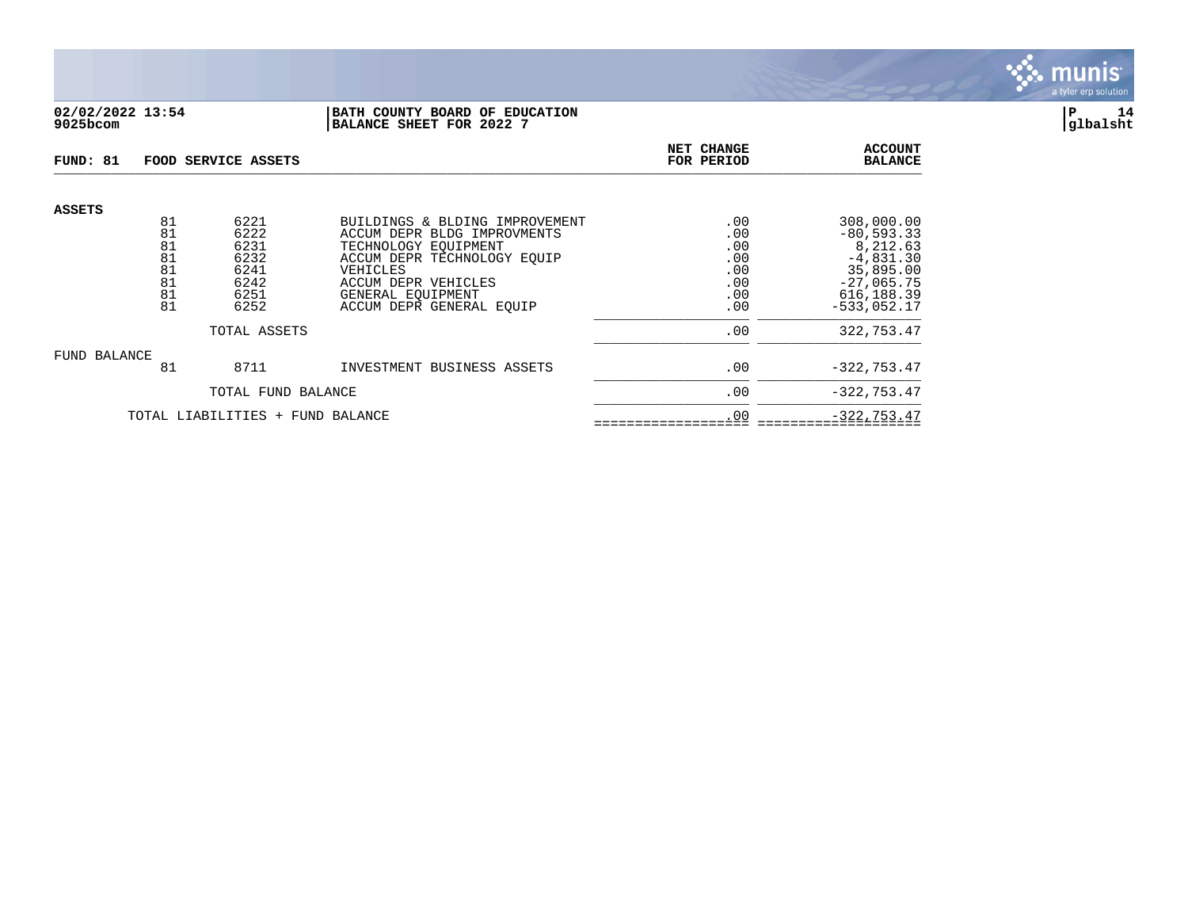

## **02/02/2022 13:54 |BATH COUNTY BOARD OF EDUCATION |P 14 9025bcom |BALANCE SHEET FOR 2022 7 |glbalsht**

| FUND: 81                         |                                        | FOOD SERVICE ASSETS                                  |                                                                                                                                                                        | NET CHANGE<br>FOR PERIOD                      | <b>ACCOUNT</b><br><b>BALANCE</b>                                                                     |
|----------------------------------|----------------------------------------|------------------------------------------------------|------------------------------------------------------------------------------------------------------------------------------------------------------------------------|-----------------------------------------------|------------------------------------------------------------------------------------------------------|
| <b>ASSETS</b>                    | 81                                     | 6221                                                 | BUILDINGS & BLDING IMPROVEMENT                                                                                                                                         | .00                                           | 308,000.00                                                                                           |
|                                  | 81<br>81<br>81<br>81<br>81<br>81<br>81 | 6222<br>6231<br>6232<br>6241<br>6242<br>6251<br>6252 | ACCUM DEPR BLDG IMPROVMENTS<br>TECHNOLOGY EOUIPMENT<br>ACCUM DEPR TECHNOLOGY EOUIP<br>VEHICLES<br>ACCUM DEPR VEHICLES<br>GENERAL EOUIPMENT<br>ACCUM DEPR GENERAL EQUIP | .00<br>.00<br>.00<br>.00<br>.00<br>.00<br>.00 | $-80, 593.33$<br>8,212.63<br>$-4,831.30$<br>35,895.00<br>$-27,065.75$<br>616,188.39<br>$-533.052.17$ |
|                                  |                                        | TOTAL ASSETS                                         |                                                                                                                                                                        | .00                                           | 322,753.47                                                                                           |
| FUND BALANCE                     | 81                                     | 8711                                                 | INVESTMENT BUSINESS ASSETS                                                                                                                                             | .00                                           | $-322, 753.47$                                                                                       |
|                                  |                                        | TOTAL FUND BALANCE                                   |                                                                                                                                                                        | .00                                           | $-322, 753.47$                                                                                       |
| TOTAL LIABILITIES + FUND BALANCE |                                        |                                                      |                                                                                                                                                                        | .00                                           | $-322, 753.47$                                                                                       |